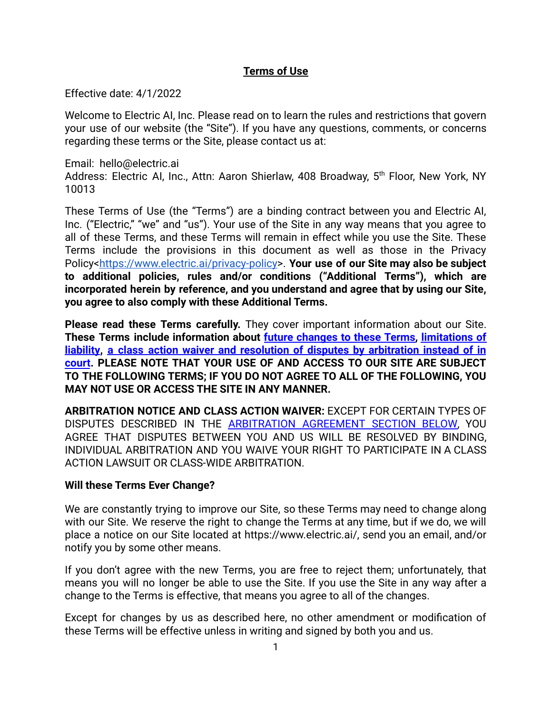# **Terms of Use**

Effective date: 4/1/2022

Welcome to Electric AI, Inc. Please read on to learn the rules and restrictions that govern your use of our website (the "Site"). If you have any questions, comments, or concerns regarding these terms or the Site, please contact us at:

Email: hello@electric.ai Address: Electric AI, Inc., Attn: Aaron Shierlaw, 408 Broadway, 5<sup>th</sup> Floor, New York, NY 10013

These Terms of Use (the "Terms") are a binding contract between you and Electric AI, Inc. ("Electric," "we" and "us"). Your use of the Site in any way means that you agree to all of these Terms, and these Terms will remain in effect while you use the Site. These Terms include the provisions in this document as well as those in the Privacy Policy[<https://www.electric.ai/privacy-policy>](https://www.electric.ai/privacy-policy). **Your use of our Site may also be subject to additional policies, rules and/or conditions ("Additional Terms"), which are incorporated herein by reference, and you understand and agree that by using our Site, you agree to also comply with these Additional Terms.**

**Please read these Terms carefully.** They cover important information about our Site. **These Terms include information about future [changes](#page-0-0) to these Terms, [limitations](#page-4-0) of [liability](#page-4-0), a class action waiver and resolution of disputes by [arbitration](#page-5-0) instead of in [court](#page-5-0). PLEASE NOTE THAT YOUR USE OF AND ACCESS TO OUR SITE ARE SUBJECT TO THE FOLLOWING TERMS; IF YOU DO NOT AGREE TO ALL OF THE FOLLOWING, YOU MAY NOT USE OR ACCESS THE SITE IN ANY MANNER.**

**ARBITRATION NOTICE AND CLASS ACTION WAIVER:** EXCEPT FOR CERTAIN TYPES OF DISPUTES DESCRIBED IN THE [ARBITRATION](#page-5-0) AGREEMENT SECTION BELOW, YOU AGREE THAT DISPUTES BETWEEN YOU AND US WILL BE RESOLVED BY BINDING, INDIVIDUAL ARBITRATION AND YOU WAIVE YOUR RIGHT TO PARTICIPATE IN A CLASS ACTION LAWSUIT OR CLASS-WIDE ARBITRATION.

## <span id="page-0-0"></span>**Will these Terms Ever Change?**

We are constantly trying to improve our Site, so these Terms may need to change along with our Site. We reserve the right to change the Terms at any time, but if we do, we will place a notice on our Site located at https://www.electric.ai/, send you an email, and/or notify you by some other means.

If you don't agree with the new Terms, you are free to reject them; unfortunately, that means you will no longer be able to use the Site. If you use the Site in any way after a change to the Terms is effective, that means you agree to all of the changes.

Except for changes by us as described here, no other amendment or modification of these Terms will be effective unless in writing and signed by both you and us.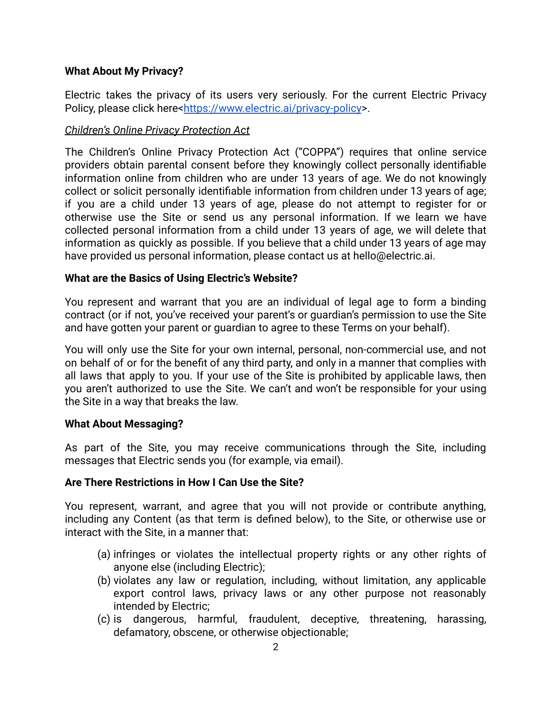### **What About My Privacy?**

Electric takes the privacy of its users very seriously. For the current Electric Privacy Policy, please click here<<https://www.electric.ai/privacy-policy>>.

## *Children's Online Privacy Protection Act*

The Children's Online Privacy Protection Act ("COPPA") requires that online service providers obtain parental consent before they knowingly collect personally identifiable information online from children who are under 13 years of age. We do not knowingly collect or solicit personally identifiable information from children under 13 years of age; if you are a child under 13 years of age, please do not attempt to register for or otherwise use the Site or send us any personal information. If we learn we have collected personal information from a child under 13 years of age, we will delete that information as quickly as possible. If you believe that a child under 13 years of age may have provided us personal information, please contact us at hello@electric.ai.

### **What are the Basics of Using Electric's Website?**

You represent and warrant that you are an individual of legal age to form a binding contract (or if not, you've received your parent's or guardian's permission to use the Site and have gotten your parent or guardian to agree to these Terms on your behalf).

You will only use the Site for your own internal, personal, non-commercial use, and not on behalf of or for the benefit of any third party, and only in a manner that complies with all laws that apply to you. If your use of the Site is prohibited by applicable laws, then you aren't authorized to use the Site. We can't and won't be responsible for your using the Site in a way that breaks the law.

#### **What About Messaging?**

As part of the Site, you may receive communications through the Site, including messages that Electric sends you (for example, via email).

#### **Are There Restrictions in How I Can Use the Site?**

You represent, warrant, and agree that you will not provide or contribute anything, including any Content (as that term is defined below), to the Site, or otherwise use or interact with the Site, in a manner that:

- (a) infringes or violates the intellectual property rights or any other rights of anyone else (including Electric);
- (b) violates any law or regulation, including, without limitation, any applicable export control laws, privacy laws or any other purpose not reasonably intended by Electric;
- (c) is dangerous, harmful, fraudulent, deceptive, threatening, harassing, defamatory, obscene, or otherwise objectionable;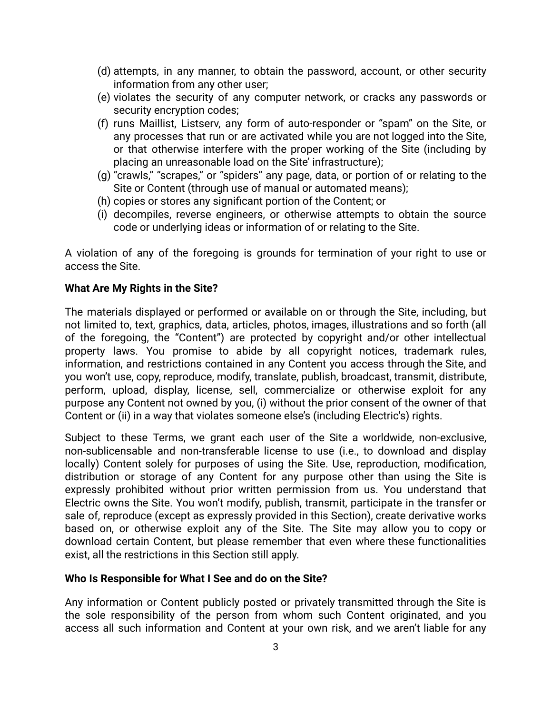- (d) attempts, in any manner, to obtain the password, account, or other security information from any other user;
- (e) violates the security of any computer network, or cracks any passwords or security encryption codes;
- (f) runs Maillist, Listserv, any form of auto-responder or "spam" on the Site, or any processes that run or are activated while you are not logged into the Site, or that otherwise interfere with the proper working of the Site (including by placing an unreasonable load on the Site' infrastructure);
- (g) "crawls," "scrapes," or "spiders" any page, data, or portion of or relating to the Site or Content (through use of manual or automated means);
- (h) copies or stores any significant portion of the Content; or
- (i) decompiles, reverse engineers, or otherwise attempts to obtain the source code or underlying ideas or information of or relating to the Site.

A violation of any of the foregoing is grounds for termination of your right to use or access the Site.

#### **What Are My Rights in the Site?**

The materials displayed or performed or available on or through the Site, including, but not limited to, text, graphics, data, articles, photos, images, illustrations and so forth (all of the foregoing, the "Content") are protected by copyright and/or other intellectual property laws. You promise to abide by all copyright notices, trademark rules, information, and restrictions contained in any Content you access through the Site, and you won't use, copy, reproduce, modify, translate, publish, broadcast, transmit, distribute, perform, upload, display, license, sell, commercialize or otherwise exploit for any purpose any Content not owned by you, (i) without the prior consent of the owner of that Content or (ii) in a way that violates someone else's (including Electric's) rights.

Subject to these Terms, we grant each user of the Site a worldwide, non-exclusive, non-sublicensable and non-transferable license to use (i.e., to download and display locally) Content solely for purposes of using the Site. Use, reproduction, modification, distribution or storage of any Content for any purpose other than using the Site is expressly prohibited without prior written permission from us. You understand that Electric owns the Site. You won't modify, publish, transmit, participate in the transfer or sale of, reproduce (except as expressly provided in this Section), create derivative works based on, or otherwise exploit any of the Site. The Site may allow you to copy or download certain Content, but please remember that even where these functionalities exist, all the restrictions in this Section still apply.

#### **Who Is Responsible for What I See and do on the Site?**

Any information or Content publicly posted or privately transmitted through the Site is the sole responsibility of the person from whom such Content originated, and you access all such information and Content at your own risk, and we aren't liable for any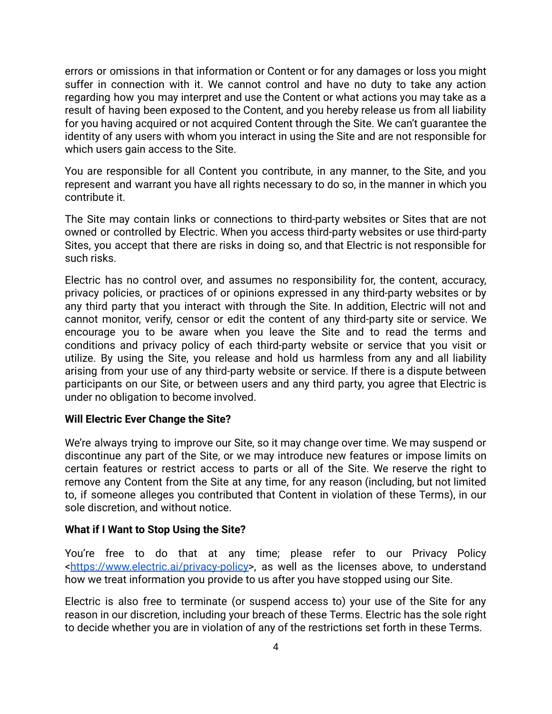errors or omissions in that information or Content or for any damages or loss you might suffer in connection with it. We cannot control and have no duty to take any action regarding how you may interpret and use the Content or what actions you may take as a result of having been exposed to the Content, and you hereby release us from all liability for you having acquired or not acquired Content through the Site. We can't guarantee the identity of any users with whom you interact in using the Site and are not responsible for which users gain access to the Site.

You are responsible for all Content you contribute, in any manner, to the Site, and you represent and warrant you have all rights necessary to do so, in the manner in which you contribute it.

The Site may contain links or connections to third-party websites or Sites that are not owned or controlled by Electric. When you access third-party websites or use third-party Sites, you accept that there are risks in doing so, and that Electric is not responsible for such risks.

Electric has no control over, and assumes no responsibility for, the content, accuracy, privacy policies, or practices of or opinions expressed in any third-party websites or by any third party that you interact with through the Site. In addition, Electric will not and cannot monitor, verify, censor or edit the content of any third-party site or service. We encourage you to be aware when you leave the Site and to read the terms and conditions and privacy policy of each third-party website or service that you visit or utilize. By using the Site, you release and hold us harmless from any and all liability arising from your use of any third-party website or service. If there is a dispute between participants on our Site, or between users and any third party, you agree that Electric is under no obligation to become involved.

#### **Will Electric Ever Change the Site?**

We're always trying to improve our Site, so it may change over time. We may suspend or discontinue any part of the Site, or we may introduce new features or impose limits on certain features or restrict access to parts or all of the Site. We reserve the right to remove any Content from the Site at any time, for any reason (including, but not limited to, if someone alleges you contributed that Content in violation of these Terms), in our sole discretion, and without notice.

#### **What if I Want to Stop Using the Site?**

You're free to do that at any time; please refer to our Privacy Policy [<https://www.electric.ai/privacy-policy>](https://www.electric.ai/privacy-policy), as well as the licenses above, to understand how we treat information you provide to us after you have stopped using our Site.

Electric is also free to terminate (or suspend access to) your use of the Site for any reason in our discretion, including your breach of these Terms. Electric has the sole right to decide whether you are in violation of any of the restrictions set forth in these Terms.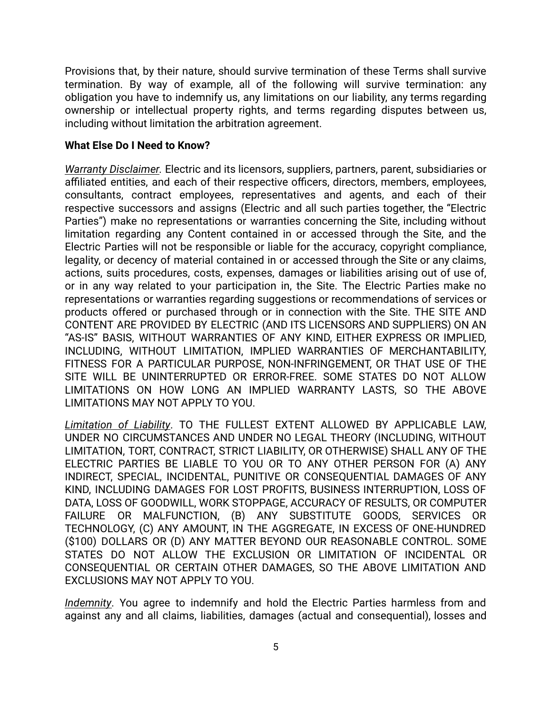Provisions that, by their nature, should survive termination of these Terms shall survive termination. By way of example, all of the following will survive termination: any obligation you have to indemnify us, any limitations on our liability, any terms regarding ownership or intellectual property rights, and terms regarding disputes between us, including without limitation the arbitration agreement.

#### **What Else Do I Need to Know?**

*Warranty Disclaimer.* Electric and its licensors, suppliers, partners, parent, subsidiaries or affiliated entities, and each of their respective officers, directors, members, employees, consultants, contract employees, representatives and agents, and each of their respective successors and assigns (Electric and all such parties together, the "Electric Parties") make no representations or warranties concerning the Site, including without limitation regarding any Content contained in or accessed through the Site, and the Electric Parties will not be responsible or liable for the accuracy, copyright compliance, legality, or decency of material contained in or accessed through the Site or any claims, actions, suits procedures, costs, expenses, damages or liabilities arising out of use of, or in any way related to your participation in, the Site. The Electric Parties make no representations or warranties regarding suggestions or recommendations of services or products offered or purchased through or in connection with the Site. THE SITE AND CONTENT ARE PROVIDED BY ELECTRIC (AND ITS LICENSORS AND SUPPLIERS) ON AN "AS-IS" BASIS, WITHOUT WARRANTIES OF ANY KIND, EITHER EXPRESS OR IMPLIED, INCLUDING, WITHOUT LIMITATION, IMPLIED WARRANTIES OF MERCHANTABILITY, FITNESS FOR A PARTICULAR PURPOSE, NON-INFRINGEMENT, OR THAT USE OF THE SITE WILL BE UNINTERRUPTED OR ERROR-FREE. SOME STATES DO NOT ALLOW LIMITATIONS ON HOW LONG AN IMPLIED WARRANTY LASTS, SO THE ABOVE LIMITATIONS MAY NOT APPLY TO YOU.

<span id="page-4-0"></span>*Limitation of Liability*. TO THE FULLEST EXTENT ALLOWED BY APPLICABLE LAW, UNDER NO CIRCUMSTANCES AND UNDER NO LEGAL THEORY (INCLUDING, WITHOUT LIMITATION, TORT, CONTRACT, STRICT LIABILITY, OR OTHERWISE) SHALL ANY OF THE ELECTRIC PARTIES BE LIABLE TO YOU OR TO ANY OTHER PERSON FOR (A) ANY INDIRECT, SPECIAL, INCIDENTAL, PUNITIVE OR CONSEQUENTIAL DAMAGES OF ANY KIND, INCLUDING DAMAGES FOR LOST PROFITS, BUSINESS INTERRUPTION, LOSS OF DATA, LOSS OF GOODWILL, WORK STOPPAGE, ACCURACY OF RESULTS, OR COMPUTER FAILURE OR MALFUNCTION, (B) ANY SUBSTITUTE GOODS, SERVICES OR TECHNOLOGY, (C) ANY AMOUNT, IN THE AGGREGATE, IN EXCESS OF ONE-HUNDRED (\$100) DOLLARS OR (D) ANY MATTER BEYOND OUR REASONABLE CONTROL. SOME STATES DO NOT ALLOW THE EXCLUSION OR LIMITATION OF INCIDENTAL OR CONSEQUENTIAL OR CERTAIN OTHER DAMAGES, SO THE ABOVE LIMITATION AND EXCLUSIONS MAY NOT APPLY TO YOU.

*Indemnity*. You agree to indemnify and hold the Electric Parties harmless from and against any and all claims, liabilities, damages (actual and consequential), losses and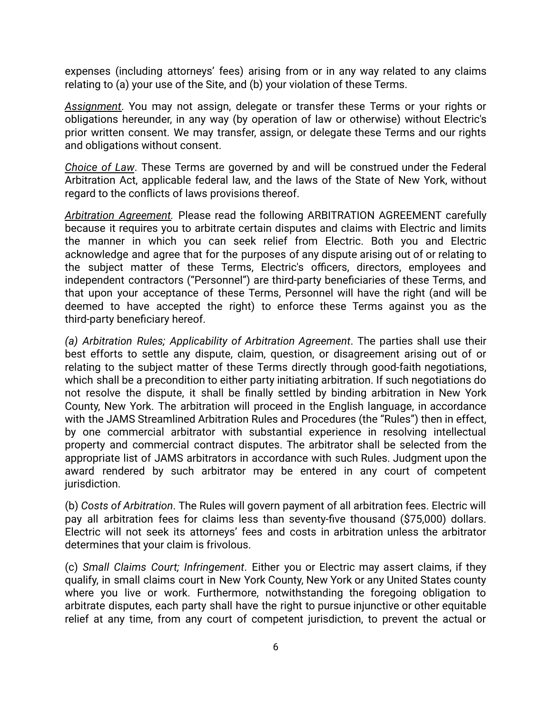expenses (including attorneys' fees) arising from or in any way related to any claims relating to (a) your use of the Site, and (b) your violation of these Terms.

*Assignment*. You may not assign, delegate or transfer these Terms or your rights or obligations hereunder, in any way (by operation of law or otherwise) without Electric's prior written consent. We may transfer, assign, or delegate these Terms and our rights and obligations without consent.

*Choice of Law*. These Terms are governed by and will be construed under the Federal Arbitration Act, applicable federal law, and the laws of the State of New York, without regard to the conflicts of laws provisions thereof.

<span id="page-5-0"></span>*Arbitration Agreement.* Please read the following ARBITRATION AGREEMENT carefully because it requires you to arbitrate certain disputes and claims with Electric and limits the manner in which you can seek relief from Electric. Both you and Electric acknowledge and agree that for the purposes of any dispute arising out of or relating to the subject matter of these Terms, Electric's officers, directors, employees and independent contractors ("Personnel") are third-party beneficiaries of these Terms, and that upon your acceptance of these Terms, Personnel will have the right (and will be deemed to have accepted the right) to enforce these Terms against you as the third-party beneficiary hereof.

*(a) Arbitration Rules; Applicability of Arbitration Agreement*. The parties shall use their best efforts to settle any dispute, claim, question, or disagreement arising out of or relating to the subject matter of these Terms directly through good-faith negotiations, which shall be a precondition to either party initiating arbitration. If such negotiations do not resolve the dispute, it shall be finally settled by binding arbitration in New York County, New York. The arbitration will proceed in the English language, in accordance with the JAMS Streamlined Arbitration Rules and Procedures (the "Rules") then in effect, by one commercial arbitrator with substantial experience in resolving intellectual property and commercial contract disputes. The arbitrator shall be selected from the appropriate list of JAMS arbitrators in accordance with such Rules. Judgment upon the award rendered by such arbitrator may be entered in any court of competent jurisdiction.

(b) *Costs of Arbitration*. The Rules will govern payment of all arbitration fees. Electric will pay all arbitration fees for claims less than seventy-five thousand (\$75,000) dollars. Electric will not seek its attorneys' fees and costs in arbitration unless the arbitrator determines that your claim is frivolous.

(c) *Small Claims Court; Infringement*. Either you or Electric may assert claims, if they qualify, in small claims court in New York County, New York or any United States county where you live or work. Furthermore, notwithstanding the foregoing obligation to arbitrate disputes, each party shall have the right to pursue injunctive or other equitable relief at any time, from any court of competent jurisdiction, to prevent the actual or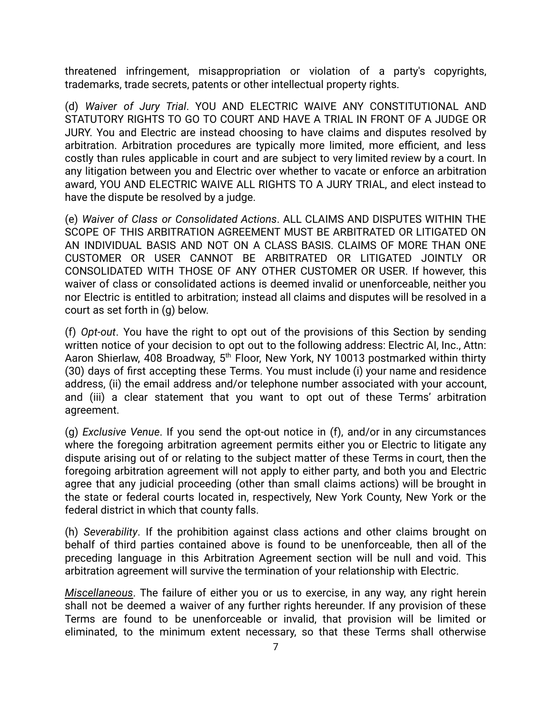threatened infringement, misappropriation or violation of a party's copyrights, trademarks, trade secrets, patents or other intellectual property rights.

(d) *Waiver of Jury Trial*. YOU AND ELECTRIC WAIVE ANY CONSTITUTIONAL AND STATUTORY RIGHTS TO GO TO COURT AND HAVE A TRIAL IN FRONT OF A JUDGE OR JURY. You and Electric are instead choosing to have claims and disputes resolved by arbitration. Arbitration procedures are typically more limited, more efficient, and less costly than rules applicable in court and are subject to very limited review by a court. In any litigation between you and Electric over whether to vacate or enforce an arbitration award, YOU AND ELECTRIC WAIVE ALL RIGHTS TO A JURY TRIAL, and elect instead to have the dispute be resolved by a judge.

(e) *Waiver of Class or Consolidated Actions*. ALL CLAIMS AND DISPUTES WITHIN THE SCOPE OF THIS ARBITRATION AGREEMENT MUST BE ARBITRATED OR LITIGATED ON AN INDIVIDUAL BASIS AND NOT ON A CLASS BASIS. CLAIMS OF MORE THAN ONE CUSTOMER OR USER CANNOT BE ARBITRATED OR LITIGATED JOINTLY OR CONSOLIDATED WITH THOSE OF ANY OTHER CUSTOMER OR USER. If however, this waiver of class or consolidated actions is deemed invalid or unenforceable, neither you nor Electric is entitled to arbitration; instead all claims and disputes will be resolved in a court as set forth in (g) below.

(f) *Opt-out*. You have the right to opt out of the provisions of this Section by sending written notice of your decision to opt out to the following address: Electric AI, Inc., Attn: Aaron Shierlaw, 408 Broadway, 5<sup>th</sup> Floor, New York, NY 10013 postmarked within thirty (30) days of first accepting these Terms. You must include (i) your name and residence address, (ii) the email address and/or telephone number associated with your account, and (iii) a clear statement that you want to opt out of these Terms' arbitration agreement.

(g) *Exclusive Venue*. If you send the opt-out notice in (f), and/or in any circumstances where the foregoing arbitration agreement permits either you or Electric to litigate any dispute arising out of or relating to the subject matter of these Terms in court, then the foregoing arbitration agreement will not apply to either party, and both you and Electric agree that any judicial proceeding (other than small claims actions) will be brought in the state or federal courts located in, respectively, New York County, New York or the federal district in which that county falls.

(h) *Severability*. If the prohibition against class actions and other claims brought on behalf of third parties contained above is found to be unenforceable, then all of the preceding language in this Arbitration Agreement section will be null and void. This arbitration agreement will survive the termination of your relationship with Electric.

*Miscellaneous*. The failure of either you or us to exercise, in any way, any right herein shall not be deemed a waiver of any further rights hereunder. If any provision of these Terms are found to be unenforceable or invalid, that provision will be limited or eliminated, to the minimum extent necessary, so that these Terms shall otherwise